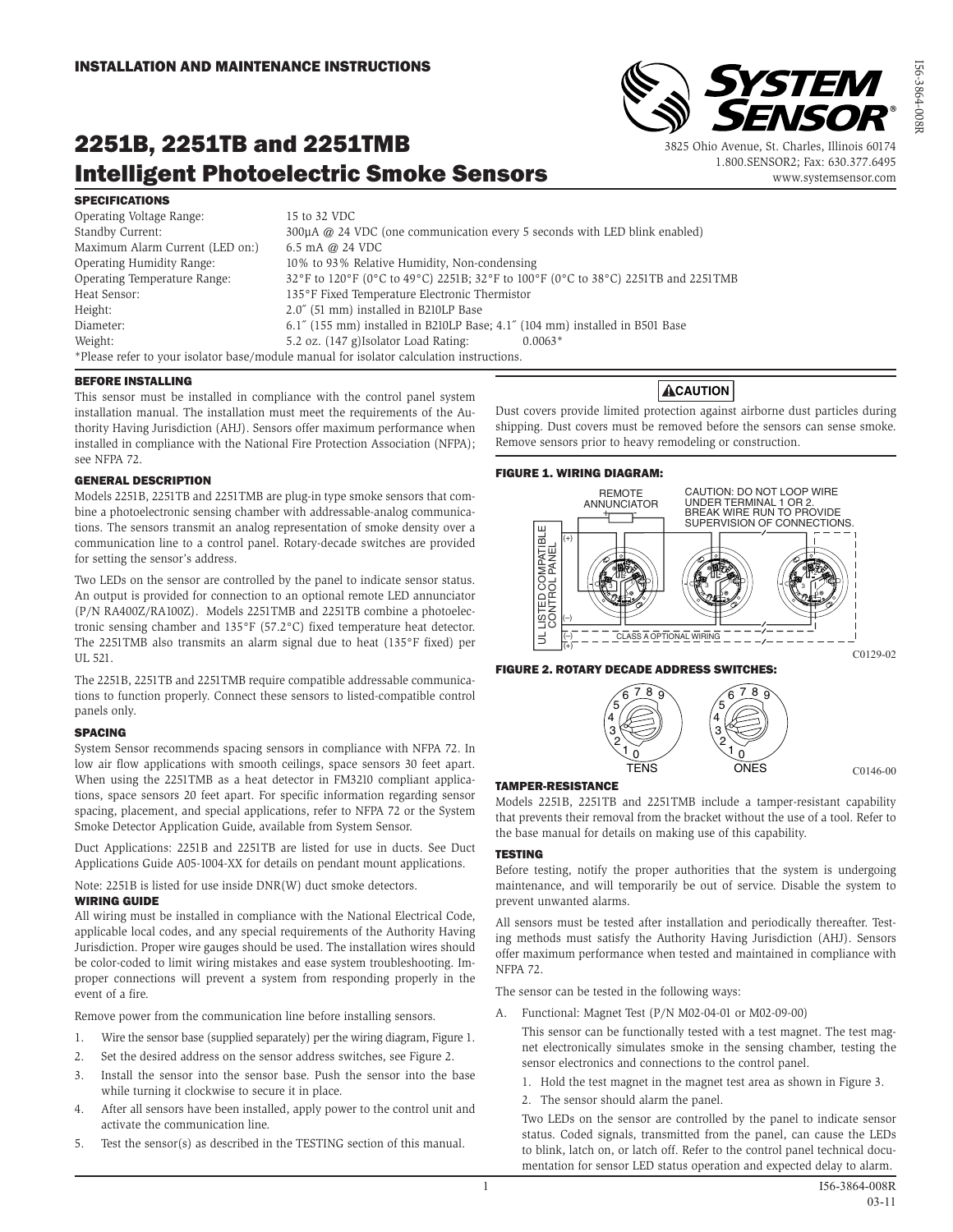# 2251B, 2251TB and 2251TMB Intelligent Photoelectric Smoke Sensors

#### SPECIFICATIONS

Operating Voltage Range: 15 to 32 VDC Standby Current: 300µA @ 24 VDC (one communication every 5 seconds with LED blink enabled) Maximum Alarm Current (LED on:) 6.5 mA @ 24 VDC Operating Humidity Range: 10% to 93% Relative Humidity, Non-condensing Operating Temperature Range: 32°F to 120°F (0°C to 49°C) 2251B; 32°F to 100°F (0°C to 38°C) 2251TB and 2251TMB Heat Sensor: 135°F Fixed Temperature Electronic Thermistor Height: 2.0<sup> $\degree$ </sup> (51 mm) installed in B210LP Base Diameter: 6.1˝ (155 mm) installed in B210LP Base; 4.1˝ (104 mm) installed in B501 Base Weight: 5.2 oz. (147 g)Isolator Load Rating: 0.0063\* \*Please refer to your isolator base/module manual for isolator calculation instructions.

#### BEFORE INSTALLING

This sensor must be installed in compliance with the control panel system installation manual. The installation must meet the requirements of the Authority Having Jurisdiction (AHJ). Sensors offer maximum performance when installed in compliance with the National Fire Protection Association (NFPA); see NFPA 72.

#### GENERAL DESCRIPTION

Models 2251B, 2251TB and 2251TMB are plug-in type smoke sensors that combine a photoelectronic sensing chamber with addressable-analog communications. The sensors transmit an analog representation of smoke density over a communication line to a control panel. Rotary-decade switches are provided for setting the sensor's address.

Two LEDs on the sensor are controlled by the panel to indicate sensor status. An output is provided for connection to an optional remote LED annunciator (P/N RA400Z/RA100Z). Models 2251TMB and 2251TB combine a photoelectronic sensing chamber and 135°F (57.2°C) fixed temperature heat detector. The 2251TMB also transmits an alarm signal due to heat (135°F fixed) per UL 521.

The 2251B, 2251TB and 2251TMB require compatible addressable communications to function properly. Connect these sensors to listed-compatible control panels only.

#### SPACING

System Sensor recommends spacing sensors in compliance with NFPA 72. In low air flow applications with smooth ceilings, space sensors 30 feet apart. When using the 2251TMB as a heat detector in FM3210 compliant applications, space sensors 20 feet apart. For specific information regarding sensor spacing, placement, and special applications, refer to NFPA 72 or the System Smoke Detector Application Guide, available from System Sensor.

Duct Applications: 2251B and 2251TB are listed for use in ducts. See Duct Applications Guide A05-1004-XX for details on pendant mount applications.

Note: 2251B is listed for use inside DNR(W) duct smoke detectors. WIRING GUIDE

All wiring must be installed in compliance with the National Electrical Code, applicable local codes, and any special requirements of the Authority Having Jurisdiction. Proper wire gauges should be used. The installation wires should be color-coded to limit wiring mistakes and ease system troubleshooting. Improper connections will prevent a system from responding properly in the event of a fire.

Remove power from the communication line before installing sensors.

- 1. Wire the sensor base (supplied separately) per the wiring diagram, Figure 1.
- 2. Set the desired address on the sensor address switches, see Figure 2.
- 3. Install the sensor into the sensor base. Push the sensor into the base while turning it clockwise to secure it in place.
- 4. After all sensors have been installed, apply power to the control unit and activate the communication line.
- 5. Test the sensor(s) as described in the TESTING section of this manual.



3825 Ohio Avenue, St. Charles, Illinois 60174 1.800.SENSOR2; Fax: 630.377.6495

**YSTEM** 

ENSOR

www.systemsensor.com

Dust covers provide limited protection against airborne dust particles during shipping. Dust covers must be removed before the sensors can sense smoke. Remove sensors prior to heavy remodeling or construction.

#### FIGURE 1. WIRING DIAGRAM:



#### FIGURE 2. ROTARY DECADE ADDRESS SWITCHES:



#### TAMPER-RESISTANCE

Models 2251B, 2251TB and 2251TMB include a tamper-resistant capability that prevents their removal from the bracket without the use of a tool. Refer to the base manual for details on making use of this capability.

#### **TESTING**

Before testing, notify the proper authorities that the system is undergoing maintenance, and will temporarily be out of service. Disable the system to prevent unwanted alarms.

All sensors must be tested after installation and periodically thereafter. Testing methods must satisfy the Authority Having Jurisdiction (AHJ). Sensors offer maximum performance when tested and maintained in compliance with NFPA 72.

The sensor can be tested in the following ways:

A. Functional: Magnet Test (P/N M02-04-01 or M02-09-00)

 This sensor can be functionally tested with a test magnet. The test magnet electronically simulates smoke in the sensing chamber, testing the sensor electronics and connections to the control panel.

- 1. Hold the test magnet in the magnet test area as shown in Figure 3.
- 2. The sensor should alarm the panel.

 Two LEDs on the sensor are controlled by the panel to indicate sensor status. Coded signals, transmitted from the panel, can cause the LEDs to blink, latch on, or latch off. Refer to the control panel technical documentation for sensor LED status operation and expected delay to alarm.

C0146-00